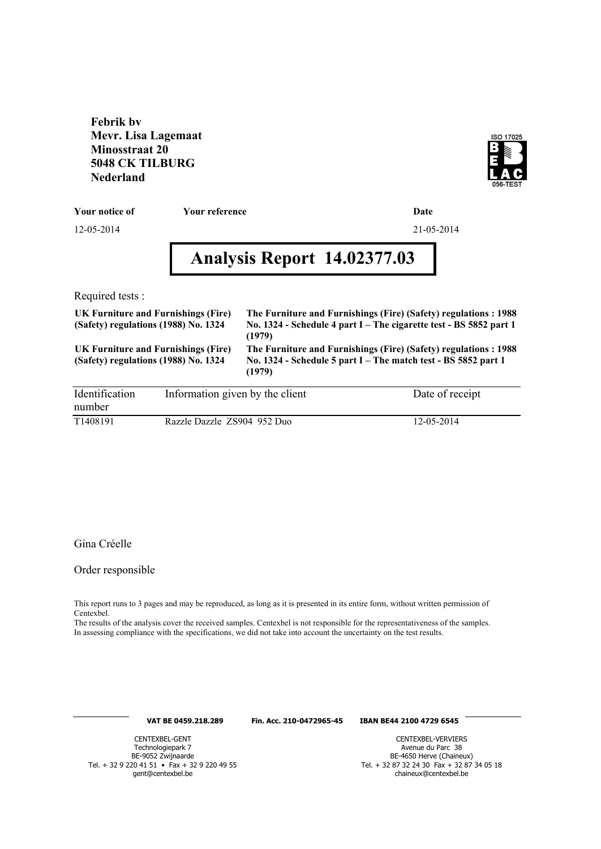**Febrik bv Mevr. Lisa Lagemaat Minosstraat 20 5048 CK TILBURG Nederland**



**Your notice of Your reference Date**

12-05-2014 21-05-2014

# **Analysis Report 14.02377.03**

Required tests :

| UK Furniture and Furnishings (Fire)<br>(Safety) regulations (1988) No. 1324 | The Furniture and Furnishings (Fire) (Safety) regulations: 1988<br>No. 1324 - Schedule 4 part I – The cigarette test - BS 5852 part 1<br>(1979) |
|-----------------------------------------------------------------------------|-------------------------------------------------------------------------------------------------------------------------------------------------|
| UK Furniture and Furnishings (Fire)<br>(Safety) regulations (1988) No. 1324 | The Furniture and Furnishings (Fire) (Safety) regulations: 1988<br>No. 1324 - Schedule 5 part I – The match test - BS 5852 part 1<br>(1979)     |

| Identification        | Information given by the client | Date of receipt |
|-----------------------|---------------------------------|-----------------|
| number                |                                 |                 |
| T <sub>1408</sub> 191 | Razzle Dazzle ZS904 952 Duo     | 12-05-2014      |

#### Gina Créelle

#### Order responsible

This report runs to 3 pages and may be reproduced, as long as it is presented in its entire form, without written permission of Centexbel.

The results of the analysis cover the received samples. Centexbel is not responsible for the representativeness of the samples. In assessing compliance with the specifications, we did not take into account the uncertainty on the test results.

#### **VAT BE 0459.218.289 Fin. Acc. 210-0472965-45 IBAN BE44 2100 4729 6545**

CENTEXBEL-GENT Technologiepark 7 BE-9052 Zwijnaarde Tel. + 32 9 220 41 51 • Fax + 32 9 220 49 55 gent@centexbel.be

CENTEXBEL-VERVIERS Avenue du Parc 38 BE-4650 Herve (Chaineux) Tel. + 32 87 32 24 30 Fax + 32 87 34 05 18 chaineux@centexbel.be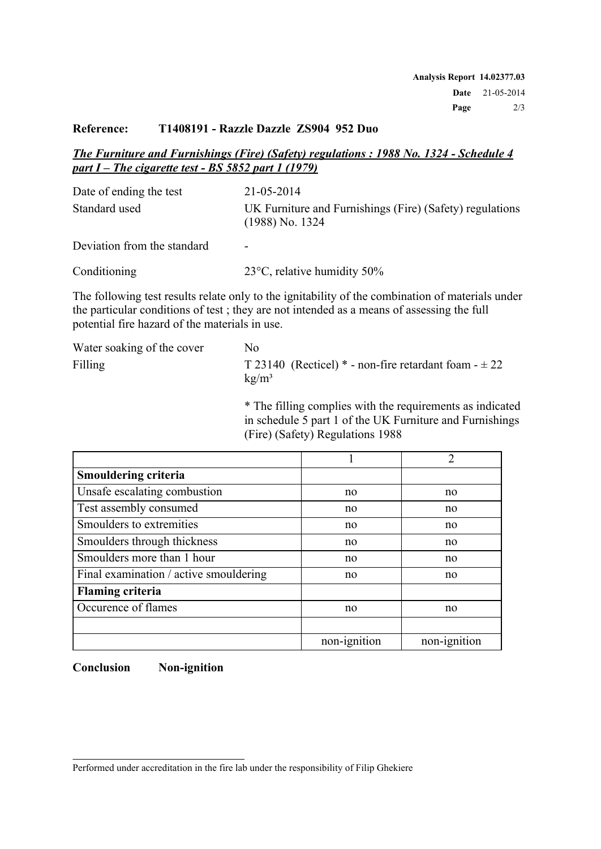### **Reference: T1408191 - Razzle Dazzle ZS904 952 Duo**

## *The Furniture and Furnishings (Fire) (Safety) regulations : 1988 No. 1324 - Schedule 4 part I – The cigarette test - BS 5852 part 1 (1979)*

| Date of ending the test     | 21-05-2014                                                                    |
|-----------------------------|-------------------------------------------------------------------------------|
| Standard used               | UK Furniture and Furnishings (Fire) (Safety) regulations<br>$(1988)$ No. 1324 |
| Deviation from the standard | -                                                                             |

Conditioning 23°C, relative humidity 50%

The following test results relate only to the ignitability of the combination of materials under the particular conditions of test ; they are not intended as a means of assessing the full potential fire hazard of the materials in use.

| Water soaking of the cover | No.                                                                             |
|----------------------------|---------------------------------------------------------------------------------|
| Filling                    | T 23140 (Recticel) $*$ - non-fire retardant foam - $\pm 22$<br>$k\frac{g}{m^3}$ |

\* The filling complies with the requirements as indicated in schedule 5 part 1 of the UK Furniture and Furnishings (Fire) (Safety) Regulations 1988

|                                        |              | $\mathcal{D}_{\mathcal{L}}$ |
|----------------------------------------|--------------|-----------------------------|
| <b>Smouldering criteria</b>            |              |                             |
| Unsafe escalating combustion           | no           | no                          |
| Test assembly consumed                 | no           | no                          |
| Smoulders to extremities               | no           | no                          |
| Smoulders through thickness            | no           | no                          |
| Smoulders more than 1 hour             | no           | no                          |
| Final examination / active smouldering | no           | no                          |
| <b>Flaming criteria</b>                |              |                             |
| Occurence of flames                    | no           | no                          |
|                                        |              |                             |
|                                        | non-ignition | non-ignition                |

**Conclusion Non-ignition**

Performed under accreditation in the fire lab under the responsibility of Filip Ghekiere